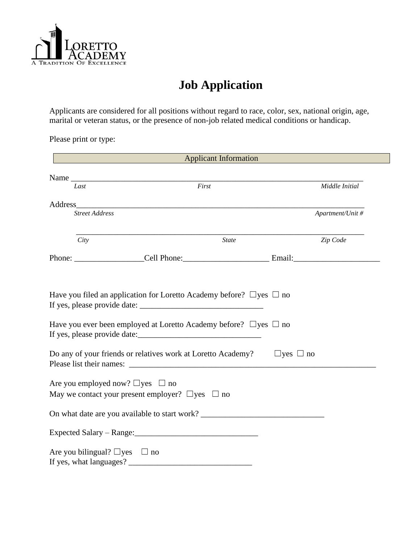

# **Job Application**

Applicants are considered for all positions without regard to race, color, sex, national origin, age, marital or veteran status, or the presence of non-job related medical conditions or handicap.

Please print or type:

|                                            | <b>Applicant Information</b>                                                     |                      |
|--------------------------------------------|----------------------------------------------------------------------------------|----------------------|
|                                            | Name                                                                             |                      |
| Last                                       | First                                                                            | Middle Initial       |
| Address                                    | <u> 2000 - Jan Barnett, fransk politik (d. 1888)</u>                             |                      |
| <b>Street Address</b>                      |                                                                                  | Apartment/Unit #     |
| City                                       | <b>State</b>                                                                     | Zip Code             |
|                                            |                                                                                  |                      |
|                                            | Have you ever been employed at Loretto Academy before? $\Box$ yes $\Box$ no      |                      |
|                                            | Do any of your friends or relatives work at Loretto Academy?                     | $\Box$ yes $\Box$ no |
| Are you employed now? $\Box$ yes $\Box$ no | May we contact your present employer? $\Box$ yes $\Box$ no                       |                      |
|                                            | On what date are you available to start work? __________________________________ |                      |
|                                            |                                                                                  |                      |
| Are you bilingual? $\Box$ yes              | $\Box$ no                                                                        |                      |
| If yes, what languages?                    |                                                                                  |                      |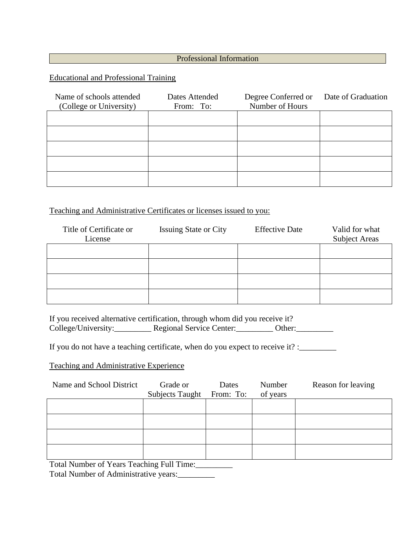## Professional Information

Educational and Professional Training

| Name of schools attended<br>(College or University) | Dates Attended<br>From: To: | Degree Conferred or Date of Graduation<br>Number of Hours |  |
|-----------------------------------------------------|-----------------------------|-----------------------------------------------------------|--|
|                                                     |                             |                                                           |  |
|                                                     |                             |                                                           |  |
|                                                     |                             |                                                           |  |
|                                                     |                             |                                                           |  |
|                                                     |                             |                                                           |  |

#### Teaching and Administrative Certificates or licenses issued to you:

| Title of Certificate or<br>License | <b>Issuing State or City</b> | <b>Effective Date</b> | Valid for what<br><b>Subject Areas</b> |
|------------------------------------|------------------------------|-----------------------|----------------------------------------|
|                                    |                              |                       |                                        |
|                                    |                              |                       |                                        |
|                                    |                              |                       |                                        |
|                                    |                              |                       |                                        |

If you received alternative certification, through whom did you receive it? College/University:\_\_\_\_\_\_\_\_\_\_ Regional Service Center:\_\_\_\_\_\_\_\_\_ Other:\_\_\_\_\_\_\_\_\_\_

If you do not have a teaching certificate, when do you expect to receive it? :\_\_\_\_\_\_\_\_

Teaching and Administrative Experience

| Name and School District                                                                                                                                                    | Grade or        | Dates     | Number   | Reason for leaving |
|-----------------------------------------------------------------------------------------------------------------------------------------------------------------------------|-----------------|-----------|----------|--------------------|
|                                                                                                                                                                             | Subjects Taught | From: To: | of years |                    |
|                                                                                                                                                                             |                 |           |          |                    |
|                                                                                                                                                                             |                 |           |          |                    |
|                                                                                                                                                                             |                 |           |          |                    |
|                                                                                                                                                                             |                 |           |          |                    |
|                                                                                                                                                                             |                 |           |          |                    |
|                                                                                                                                                                             |                 |           |          |                    |
| $\mathbf{T}_{\text{max}}$ of Maxwell and $\mathbf{C}$ Maxwell $\mathbf{T}_{\text{max}}$ of $\mathbf{L}_{\text{max}}$ $\mathbf{L}_{\text{max}}$ of $\mathbf{L}_{\text{max}}$ |                 |           |          |                    |

Total Number of Years Teaching Full Time:\_\_\_\_\_\_\_\_\_

Total Number of Administrative years:\_\_\_\_\_\_\_\_\_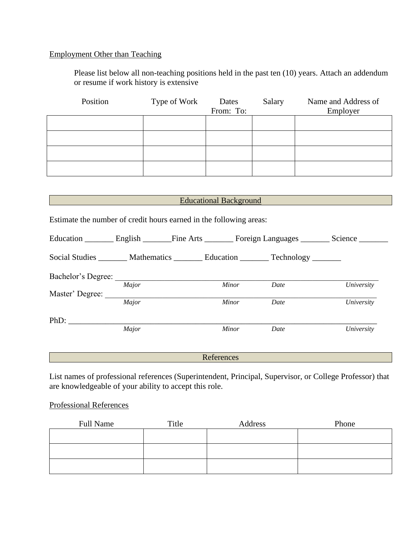# Employment Other than Teaching

Please list below all non-teaching positions held in the past ten (10) years. Attach an addendum or resume if work history is extensive

| Position | Type of Work | Dates<br>From: To: | Salary | Name and Address of<br>Employer |
|----------|--------------|--------------------|--------|---------------------------------|
|          |              |                    |        |                                 |
|          |              |                    |        |                                 |
|          |              |                    |        |                                 |
|          |              |                    |        |                                 |

|                                                                                    |  |  | Educational Background <b>Educational</b>                                                           |
|------------------------------------------------------------------------------------|--|--|-----------------------------------------------------------------------------------------------------|
| Estimate the number of credit hours earned in the following areas:                 |  |  |                                                                                                     |
|                                                                                    |  |  | Education _________ English ________ Fine Arts ________ Foreign Languages ________ Science ________ |
| Social Studies ________ Mathematics ________ Education ________ Technology _______ |  |  |                                                                                                     |
| Bachelor's Degree:                                                                 |  |  |                                                                                                     |

|                 | Major | <b>Minor</b> | Date | University |
|-----------------|-------|--------------|------|------------|
| Master' Degree: |       |              |      |            |
|                 | Major | Minor        | Date | University |
|                 |       |              |      |            |
| PhD:            |       |              |      |            |
|                 | Major | Minor        | Date | University |

References

List names of professional references (Superintendent, Principal, Supervisor, or College Professor) that are knowledgeable of your ability to accept this role.

## Professional References

| <b>Full Name</b> | Title | Address | Phone |
|------------------|-------|---------|-------|
|                  |       |         |       |
|                  |       |         |       |
|                  |       |         |       |
|                  |       |         |       |
|                  |       |         |       |
|                  |       |         |       |